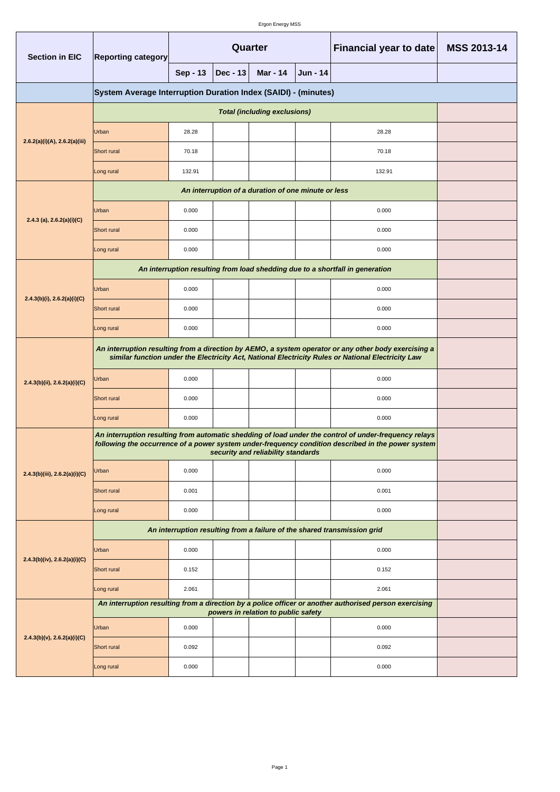| <b>Section in EIC</b>             | <b>Reporting category</b>                                                                                                                                                                                   | Quarter         |            |                                     |          | Financial year to date                                                                                 | <b>MSS 2013-14</b> |  |
|-----------------------------------|-------------------------------------------------------------------------------------------------------------------------------------------------------------------------------------------------------------|-----------------|------------|-------------------------------------|----------|--------------------------------------------------------------------------------------------------------|--------------------|--|
|                                   |                                                                                                                                                                                                             | <b>Sep - 13</b> | $Dec - 13$ | <b>Mar - 14</b>                     | Jun - 14 |                                                                                                        |                    |  |
|                                   | System Average Interruption Duration Index (SAIDI) - (minutes)                                                                                                                                              |                 |            |                                     |          |                                                                                                        |                    |  |
|                                   |                                                                                                                                                                                                             |                 |            |                                     |          |                                                                                                        |                    |  |
|                                   | Urban                                                                                                                                                                                                       | 28.28           |            |                                     |          | 28.28                                                                                                  |                    |  |
| 2.6.2(a)(i)(A), 2.6.2(a)(iii)     | Short rural                                                                                                                                                                                                 | 70.18           |            |                                     |          | 70.18                                                                                                  |                    |  |
|                                   | Long rural                                                                                                                                                                                                  | 132.91          |            |                                     |          | 132.91                                                                                                 |                    |  |
|                                   |                                                                                                                                                                                                             |                 |            |                                     |          |                                                                                                        |                    |  |
|                                   | Urban                                                                                                                                                                                                       | 0.000           |            |                                     |          | 0.000                                                                                                  |                    |  |
| 2.4.3 (a), $2.6.2(a)(i)(C)$       | Short rural                                                                                                                                                                                                 | 0.000           |            |                                     |          | 0.000                                                                                                  |                    |  |
|                                   | Long rural                                                                                                                                                                                                  | 0.000           |            |                                     |          | 0.000                                                                                                  |                    |  |
|                                   |                                                                                                                                                                                                             |                 |            |                                     |          | An interruption resulting from load shedding due to a shortfall in generation                          |                    |  |
| $2.4.3(b)(i)$ , $2.6.2(a)(i)(C)$  | Urban                                                                                                                                                                                                       | 0.000           |            |                                     |          | 0.000                                                                                                  |                    |  |
|                                   | Short rural                                                                                                                                                                                                 | 0.000           |            |                                     |          | 0.000                                                                                                  |                    |  |
|                                   | Long rural                                                                                                                                                                                                  | 0.000           |            |                                     |          | 0.000                                                                                                  |                    |  |
|                                   | An interruption resulting from a direction by AEMO, a system operator or any other body exercising a<br>similar function under the Electricity Act, National Electricity Rules or National Electricity Law  |                 |            |                                     |          |                                                                                                        |                    |  |
| 2.4.3(b)(ii), 2.6.2(a)(i)(C)      | Urban                                                                                                                                                                                                       | 0.000           |            |                                     |          | 0.000                                                                                                  |                    |  |
|                                   | Short rural                                                                                                                                                                                                 | 0.000           |            |                                     |          | 0.000                                                                                                  |                    |  |
|                                   | Long rural                                                                                                                                                                                                  | 0.000           |            |                                     |          | 0.000                                                                                                  |                    |  |
|                                   | An interruption resulting from automatic shedding of load under the control of under-frequency relays<br>following the occurrence of a power system under-frequency condition described in the power system |                 |            |                                     |          |                                                                                                        |                    |  |
| 2.4.3(b)(iii), 2.6.2(a)(i)(C)     | Urban                                                                                                                                                                                                       | 0.000           |            |                                     |          | 0.000                                                                                                  |                    |  |
|                                   | Short rural                                                                                                                                                                                                 | 0.001           |            |                                     |          | 0.001                                                                                                  |                    |  |
|                                   | Long rural                                                                                                                                                                                                  | 0.000           |            |                                     |          | 0.000                                                                                                  |                    |  |
|                                   |                                                                                                                                                                                                             |                 |            |                                     |          | An interruption resulting from a failure of the shared transmission grid                               |                    |  |
|                                   | Urban                                                                                                                                                                                                       | 0.000           |            |                                     |          | 0.000                                                                                                  |                    |  |
| $2.4.3(b)(iv)$ , $2.6.2(a)(i)(C)$ | Short rural                                                                                                                                                                                                 | 0.152           |            |                                     |          | 0.152                                                                                                  |                    |  |
|                                   | Long rural                                                                                                                                                                                                  | 2.061           |            |                                     |          | 2.061                                                                                                  |                    |  |
| $2.4.3(b)(v)$ , $2.6.2(a)(i)(C)$  |                                                                                                                                                                                                             |                 |            | powers in relation to public safety |          | An interruption resulting from a direction by a police officer or another authorised person exercising |                    |  |
|                                   | Urban                                                                                                                                                                                                       | 0.000           |            |                                     |          | 0.000                                                                                                  |                    |  |
|                                   | Short rural                                                                                                                                                                                                 | 0.092           |            |                                     |          | 0.092                                                                                                  |                    |  |
|                                   | Long rural                                                                                                                                                                                                  | 0.000           |            |                                     |          | 0.000                                                                                                  |                    |  |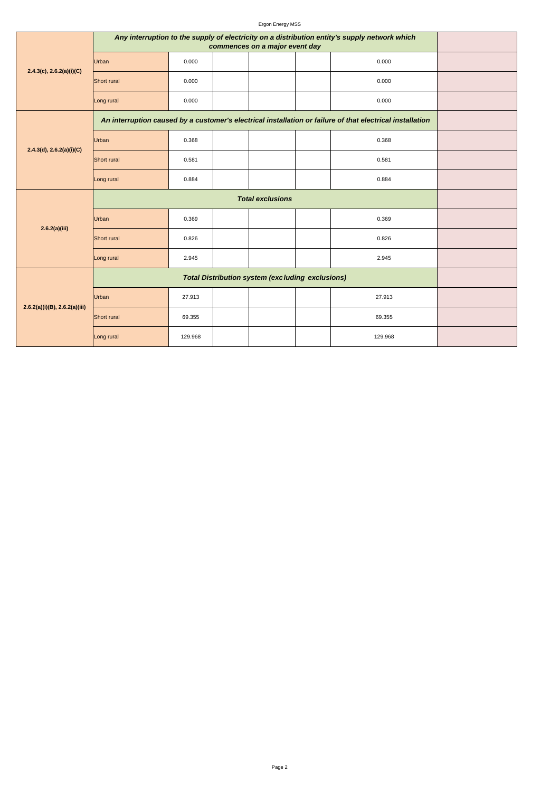Ergon Energy MSS

| $2.4.3(c)$ , $2.6.2(a)(i)(C)$      | Any interruption to the supply of electricity on a distribution entity's supply network which             |                                                         |  |  |  |         |  |
|------------------------------------|-----------------------------------------------------------------------------------------------------------|---------------------------------------------------------|--|--|--|---------|--|
|                                    | Urban                                                                                                     | 0.000                                                   |  |  |  | 0.000   |  |
|                                    | Short rural                                                                                               | 0.000                                                   |  |  |  | 0.000   |  |
|                                    | Long rural                                                                                                | 0.000                                                   |  |  |  | 0.000   |  |
| 2.4.3(d), 2.6.2(a)(i)(C)           | An interruption caused by a customer's electrical installation or failure of that electrical installation |                                                         |  |  |  |         |  |
|                                    | Urban                                                                                                     | 0.368                                                   |  |  |  | 0.368   |  |
|                                    | Short rural                                                                                               | 0.581                                                   |  |  |  | 0.581   |  |
|                                    | Long rural                                                                                                | 0.884                                                   |  |  |  | 0.884   |  |
| 2.6.2(a)(iii)                      |                                                                                                           |                                                         |  |  |  |         |  |
|                                    | Urban                                                                                                     | 0.369                                                   |  |  |  | 0.369   |  |
|                                    | Short rural                                                                                               | 0.826                                                   |  |  |  | 0.826   |  |
|                                    | Long rural                                                                                                | 2.945                                                   |  |  |  | 2.945   |  |
| $2.6.2(a)(i)(B)$ , $2.6.2(a)(iii)$ |                                                                                                           | <b>Total Distribution system (excluding exclusions)</b> |  |  |  |         |  |
|                                    | Urban                                                                                                     | 27.913                                                  |  |  |  | 27.913  |  |
|                                    | Short rural                                                                                               | 69.355                                                  |  |  |  | 69.355  |  |
|                                    | Long rural                                                                                                | 129.968                                                 |  |  |  | 129.968 |  |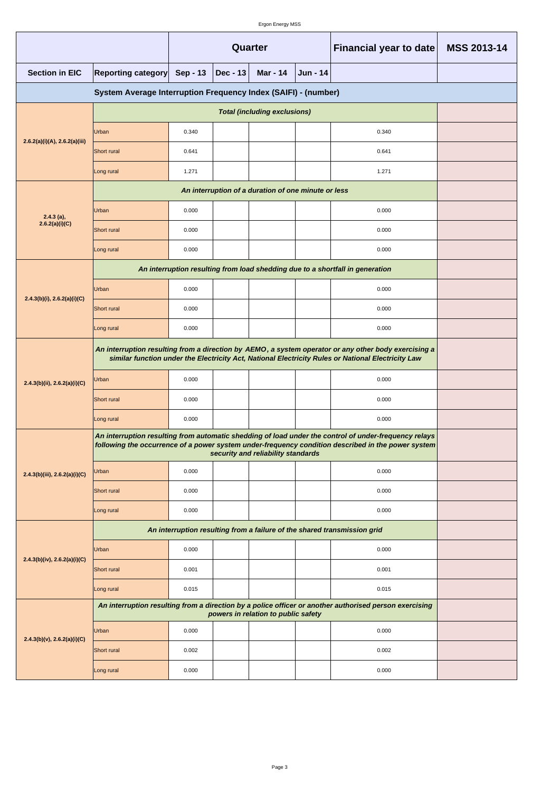|                                                                |                                                                                                                                                                                                             | Quarter                                                      |  |                                     |  | Financial year to date                                                                                 | MSS 2013-14 |  |  |
|----------------------------------------------------------------|-------------------------------------------------------------------------------------------------------------------------------------------------------------------------------------------------------------|--------------------------------------------------------------|--|-------------------------------------|--|--------------------------------------------------------------------------------------------------------|-------------|--|--|
| <b>Section in EIC</b>                                          | <b>Reporting category</b>                                                                                                                                                                                   | <b>Sep - 13</b><br>$Dec - 13$<br><b>Mar - 14</b><br>Jun - 14 |  |                                     |  |                                                                                                        |             |  |  |
| System Average Interruption Frequency Index (SAIFI) - (number) |                                                                                                                                                                                                             |                                                              |  |                                     |  |                                                                                                        |             |  |  |
|                                                                |                                                                                                                                                                                                             |                                                              |  |                                     |  |                                                                                                        |             |  |  |
|                                                                | Urban                                                                                                                                                                                                       | 0.340                                                        |  |                                     |  | 0.340                                                                                                  |             |  |  |
| 2.6.2(a)(i)(A), 2.6.2(a)(iii)                                  | Short rural                                                                                                                                                                                                 | 0.641                                                        |  |                                     |  | 0.641                                                                                                  |             |  |  |
|                                                                | Long rural                                                                                                                                                                                                  | 1.271                                                        |  |                                     |  | 1.271                                                                                                  |             |  |  |
|                                                                |                                                                                                                                                                                                             |                                                              |  |                                     |  |                                                                                                        |             |  |  |
| $2.4.3$ (a),                                                   | Urban                                                                                                                                                                                                       | 0.000                                                        |  |                                     |  | 0.000                                                                                                  |             |  |  |
| 2.6.2(a)(i)(C)                                                 | Short rural                                                                                                                                                                                                 | 0.000                                                        |  |                                     |  | 0.000                                                                                                  |             |  |  |
|                                                                | Long rural                                                                                                                                                                                                  | 0.000                                                        |  |                                     |  | 0.000                                                                                                  |             |  |  |
|                                                                |                                                                                                                                                                                                             |                                                              |  |                                     |  | An interruption resulting from load shedding due to a shortfall in generation                          |             |  |  |
|                                                                | Urban                                                                                                                                                                                                       | 0.000                                                        |  |                                     |  | 0.000                                                                                                  |             |  |  |
| $2.4.3(b)(i)$ , $2.6.2(a)(i)(C)$                               | Short rural                                                                                                                                                                                                 | 0.000                                                        |  |                                     |  | 0.000                                                                                                  |             |  |  |
|                                                                | Long rural                                                                                                                                                                                                  | 0.000                                                        |  |                                     |  | 0.000                                                                                                  |             |  |  |
|                                                                | An interruption resulting from a direction by AEMO, a system operator or any other body exercising a<br>similar function under the Electricity Act, National Electricity Rules or National Electricity Law  |                                                              |  |                                     |  |                                                                                                        |             |  |  |
| 2.4.3(b)(ii), 2.6.2(a)(i)(C)                                   | Urban                                                                                                                                                                                                       | 0.000                                                        |  |                                     |  | 0.000                                                                                                  |             |  |  |
|                                                                | Short rural                                                                                                                                                                                                 | 0.000                                                        |  |                                     |  | 0.000                                                                                                  |             |  |  |
|                                                                | Long rural                                                                                                                                                                                                  | 0.000                                                        |  |                                     |  | 0.000                                                                                                  |             |  |  |
|                                                                | An interruption resulting from automatic shedding of load under the control of under-frequency relays<br>following the occurrence of a power system under-frequency condition described in the power system |                                                              |  |                                     |  |                                                                                                        |             |  |  |
| 2.4.3(b)(iii), 2.6.2(a)(i)(C)                                  | Urban                                                                                                                                                                                                       | 0.000                                                        |  |                                     |  | 0.000                                                                                                  |             |  |  |
|                                                                | Short rural                                                                                                                                                                                                 | 0.000                                                        |  |                                     |  | 0.000                                                                                                  |             |  |  |
|                                                                | Long rural                                                                                                                                                                                                  | 0.000                                                        |  |                                     |  | 0.000                                                                                                  |             |  |  |
|                                                                | An interruption resulting from a failure of the shared transmission grid                                                                                                                                    |                                                              |  |                                     |  |                                                                                                        |             |  |  |
|                                                                | Urban                                                                                                                                                                                                       | 0.000                                                        |  |                                     |  | 0.000                                                                                                  |             |  |  |
| $2.4.3(b)(iv)$ , $2.6.2(a)(i)(C)$                              | Short rural                                                                                                                                                                                                 | 0.001                                                        |  |                                     |  | 0.001                                                                                                  |             |  |  |
|                                                                | Long rural                                                                                                                                                                                                  | 0.015                                                        |  |                                     |  | 0.015                                                                                                  |             |  |  |
| $2.4.3(b)(v)$ , $2.6.2(a)(i)(C)$                               |                                                                                                                                                                                                             |                                                              |  | powers in relation to public safety |  | An interruption resulting from a direction by a police officer or another authorised person exercising |             |  |  |
|                                                                | Urban                                                                                                                                                                                                       | 0.000                                                        |  |                                     |  | 0.000                                                                                                  |             |  |  |
|                                                                | Short rural                                                                                                                                                                                                 | 0.002                                                        |  |                                     |  | 0.002                                                                                                  |             |  |  |
|                                                                | Long rural                                                                                                                                                                                                  | 0.000                                                        |  |                                     |  | 0.000                                                                                                  |             |  |  |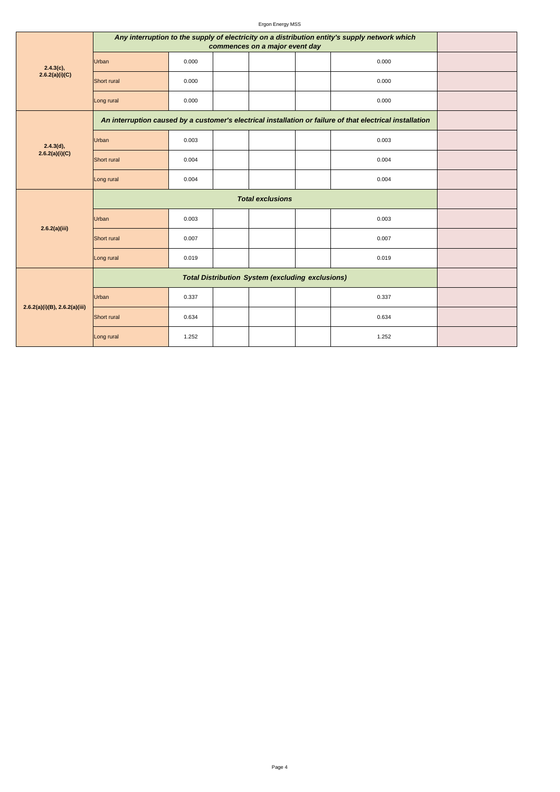Ergon Energy MSS

| $2.4.3(c)$ ,<br>2.6.2(a)(i)(C)     | Any interruption to the supply of electricity on a distribution entity's supply network which             |                                                         |  |  |  |       |  |
|------------------------------------|-----------------------------------------------------------------------------------------------------------|---------------------------------------------------------|--|--|--|-------|--|
|                                    | Urban                                                                                                     | 0.000                                                   |  |  |  | 0.000 |  |
|                                    | Short rural                                                                                               | 0.000                                                   |  |  |  | 0.000 |  |
|                                    | Long rural                                                                                                | 0.000                                                   |  |  |  | 0.000 |  |
| 2.4.3(d),<br>2.6.2(a)(i)(C)        | An interruption caused by a customer's electrical installation or failure of that electrical installation |                                                         |  |  |  |       |  |
|                                    | Urban                                                                                                     | 0.003                                                   |  |  |  | 0.003 |  |
|                                    | Short rural                                                                                               | 0.004                                                   |  |  |  | 0.004 |  |
|                                    | Long rural                                                                                                | 0.004                                                   |  |  |  | 0.004 |  |
| 2.6.2(a)(iii)                      |                                                                                                           |                                                         |  |  |  |       |  |
|                                    | Urban                                                                                                     | 0.003                                                   |  |  |  | 0.003 |  |
|                                    | Short rural                                                                                               | 0.007                                                   |  |  |  | 0.007 |  |
|                                    | Long rural                                                                                                | 0.019                                                   |  |  |  | 0.019 |  |
| $2.6.2(a)(i)(B)$ , $2.6.2(a)(iii)$ |                                                                                                           | <b>Total Distribution System (excluding exclusions)</b> |  |  |  |       |  |
|                                    | Urban                                                                                                     | 0.337                                                   |  |  |  | 0.337 |  |
|                                    | Short rural                                                                                               | 0.634                                                   |  |  |  | 0.634 |  |
|                                    | Long rural                                                                                                | 1.252                                                   |  |  |  | 1.252 |  |